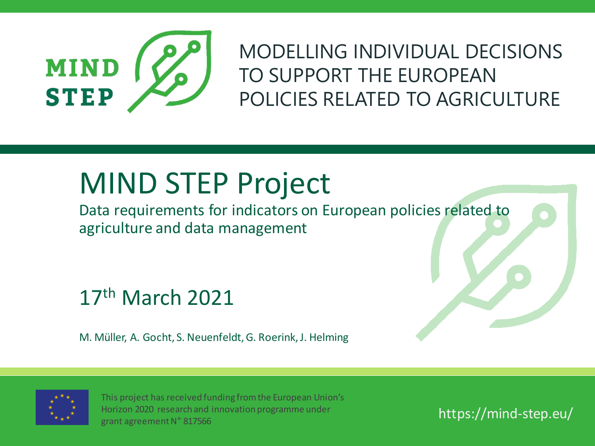

MODELLING INDIVIDUAL DECISIONS TO SUPPORT THE EUROPEAN POLICIES RELATED TO AGRICULTURE

## MIND STEP Project

Data requirements for indicators on European policies related to agriculture and data management

17th March 2021

M. Müller, A. Gocht, S. Neuenfeldt, G. Roerink, J. Helming



This project has received funding from the European Union's Horizon 2020 research and innovation programme under grant agreement N° 817566

https://mind-step.eu/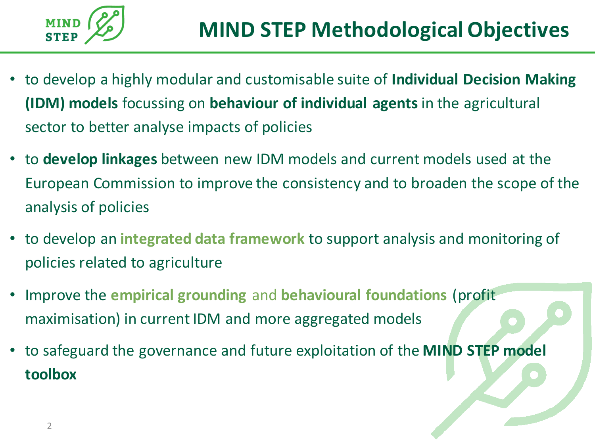

- to develop a highly modular and customisable suite of **Individual Decision Making (IDM) models** focussing on **behaviour of individual agents** in the agricultural sector to better analyse impacts of policies
- to **develop linkages** between new IDM models and current models used at the European Commission to improve the consistency and to broaden the scope of the analysis of policies
- to develop an **integrated data framework** to support analysis and monitoring of policies related to agriculture
- Improve the **empirical grounding** and **behavioural foundations** (profit maximisation) in current IDM and more aggregated models
- to safeguard the governance and future exploitation of the **MIND STEP model toolbox**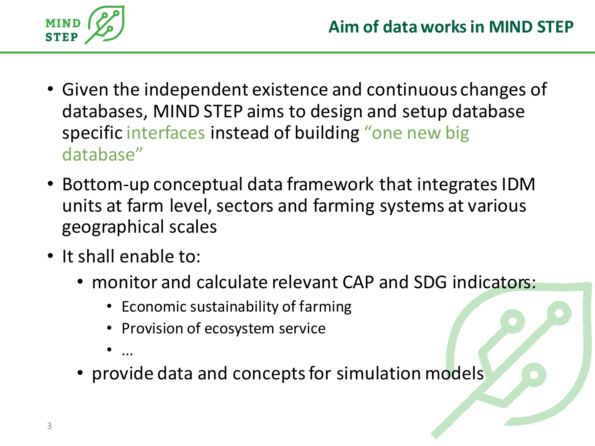

- Given the independent existence and continuous changes of databases, MIND STEP aims to design and setup database specific interfaces instead of building "one new big database"
- Bottom-up conceptual data framework that integrates IDM units at farm level, sectors and farming systems at various geographical scales
- It shall enable to:
	- monitor and calculate relevant CAP and SDG indicators:
		- Economic sustainability of farming
		- Provision of ecosystem service
		- ...
	- provide data and concepts for simulation models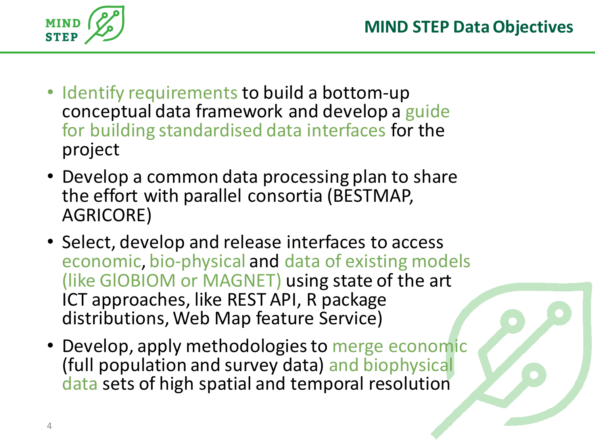

- Identify requirements to build a bottom-up conceptual data framework and develop a guide for building standardised data interfaces for the project
- Develop a common data processing plan to share the effort with parallel consortia (BESTMAP, AGRICORE)
- Select, develop and release interfaces to access economic, bio-physical and data of existing models (like GlOBIOM or MAGNET) using state of the art ICT approaches, like REST API, R package distributions, Web Map feature Service)
- Develop, apply methodologies to merge economic (full population and survey data) and biophysical data sets of high spatial and temporal resolution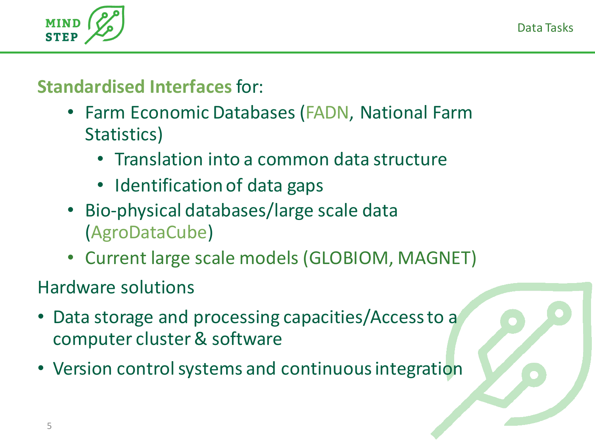Data Tasks



#### **Standardised Interfaces**for:

- Farm Economic Databases (FADN, National Farm Statistics)
	- Translation into a common data structure
	- Identification of data gaps
- Bio-physical databases/large scale data (AgroDataCube)
- Current large scale models (GLOBIOM, MAGNET)

Hardware solutions

- Data storage and processing capacities/Access to a computer cluster & software
- Version control systems and continuous integration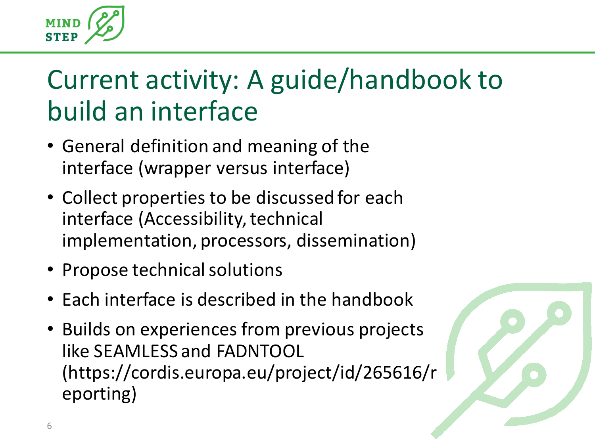

## Current activity: A guide/handbook to build an interface

- General definition and meaning of the interface (wrapper versus interface)
- Collect properties to be discussed for each interface (Accessibility, technical implementation, processors, dissemination)
- Propose technical solutions
- Each interface is described in the handbook
- Builds on experiences from previous projects like SEAMLESS and FADNTOOL (https://cordis.europa.eu/project/id/265616/r eporting)

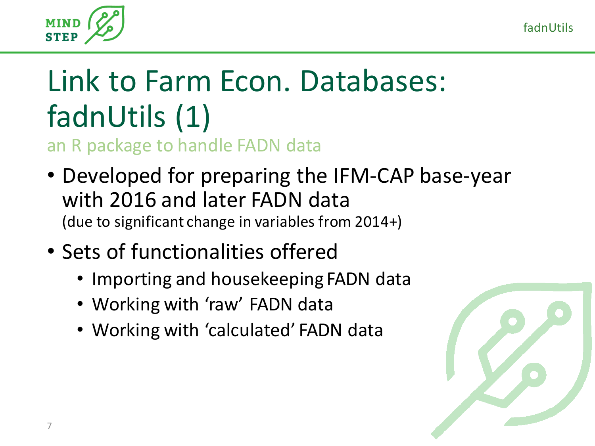fadnUtils



## Link to Farm Econ. Databases: fadnUtils (1)

an R package to handle FADN data

- Developed for preparing the IFM-CAP base-year with 2016 and later FADN data (due to significant change in variables from 2014+)
- Sets of functionalities offered
	- Importing and housekeeping FADN data
	- Working with 'raw' FADN data
	- Working with 'calculated' FADN data

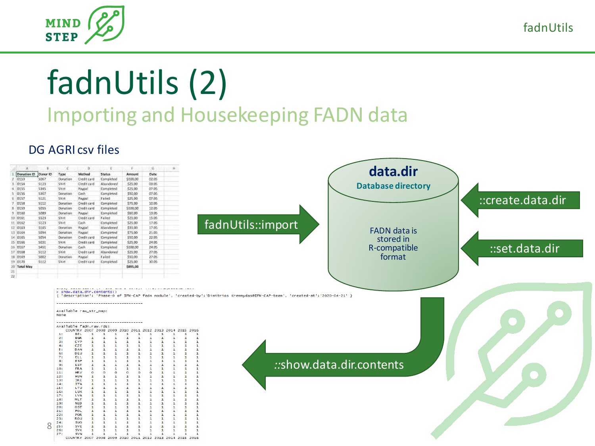



## fadnUtils (2) Importing and Housekeeping FADN data

#### DG AGRI csv files

| Denution ID Dance ID<br>Type<br>\$067<br>Donation<br>\$123<br>5000<br>\$355<br>Shirt<br>5367<br>Donation<br>5121<br>3%rt<br>5112<br>Donation<br>5355<br>Donation<br>5389<br>Doration<br>5525<br>5311<br>5123<br>SWIT<br>\$165<br>Docation<br>5094<br><b>Donation</b><br>5054<br>Donation<br>5031<br>Shirt<br>5451<br>Donation<br>5112<br>5hrt<br>5002<br>Donation<br>3112<br>$356$ rt<br>20 Total May<br>None<br>Available fadn.raw.rds:<br>1:<br>2: | Method<br><b>Status</b><br>Dedit card<br>Completed.<br>Cedit card<br>Altardoned<br>Paypal<br>:Completed<br>Cash<br>Completed<br>Paypal<br>Faird<br>Credit card<br>Completed<br>Chedit card<br>Completed<br>Peypel<br>Completed<br><b>Credit card</b><br>Failed.<br>:Cash<br>Completed<br>Paypat<br>Mandoned<br>:Completed<br>Paypat<br>Chedit card<br>Completed<br>Credit card<br>Completed<br>Completed<br>Cath<br>Chedit card<br>Abandoned<br>Paypal<br>Faiet<br>Deditional<br>Completed<br>> show.data.dir.contents()<br>------------------------------------<br>Available raw_str_map:<br>------------------------ | Amount<br>Dete<br>\$100.00<br>02.05<br>03.05<br>\$25.00<br>00.05<br>525.00<br>07.05<br>\$\$0.00<br>07.05<br>\$25.00<br>\$75.00<br>12.05<br>\$100,00<br>12.05<br>\$60.00<br>13.05<br>15.06<br>525.00<br>57.05<br>\$25.00<br>17.05<br>\$35.00<br>\$75.00<br>21.05<br>22.05<br>\$50.00<br>\$25.00<br>24.05<br>\$100,00<br>24.05<br>\$25.00<br>27.05<br>27.05<br>\$50.00<br>\$25.00<br>35.05<br>\$895,00 | fadnUtils::import<br>{ 'description': 'Phase-0 of IFM-CAP fadn module', 'created-by':'Dimitrios Kremmydas@IFM-CAP-team', 'created-at':'2020-04-21' } |                          | data.dir<br><b>Database directory</b><br><b>FADN</b> data is<br>stored in<br>R-compatible<br>format | ::create.data.dir<br>set.data.dir |
|------------------------------------------------------------------------------------------------------------------------------------------------------------------------------------------------------------------------------------------------------------------------------------------------------------------------------------------------------------------------------------------------------------------------------------------------------|------------------------------------------------------------------------------------------------------------------------------------------------------------------------------------------------------------------------------------------------------------------------------------------------------------------------------------------------------------------------------------------------------------------------------------------------------------------------------------------------------------------------------------------------------------------------------------------------------------------------|------------------------------------------------------------------------------------------------------------------------------------------------------------------------------------------------------------------------------------------------------------------------------------------------------------------------------------------------------------------------------------------------------|------------------------------------------------------------------------------------------------------------------------------------------------------|--------------------------|-----------------------------------------------------------------------------------------------------|-----------------------------------|
|                                                                                                                                                                                                                                                                                                                                                                                                                                                      |                                                                                                                                                                                                                                                                                                                                                                                                                                                                                                                                                                                                                        |                                                                                                                                                                                                                                                                                                                                                                                                      |                                                                                                                                                      |                          |                                                                                                     |                                   |
|                                                                                                                                                                                                                                                                                                                                                                                                                                                      |                                                                                                                                                                                                                                                                                                                                                                                                                                                                                                                                                                                                                        |                                                                                                                                                                                                                                                                                                                                                                                                      |                                                                                                                                                      |                          |                                                                                                     |                                   |
|                                                                                                                                                                                                                                                                                                                                                                                                                                                      |                                                                                                                                                                                                                                                                                                                                                                                                                                                                                                                                                                                                                        |                                                                                                                                                                                                                                                                                                                                                                                                      |                                                                                                                                                      |                          |                                                                                                     |                                   |
|                                                                                                                                                                                                                                                                                                                                                                                                                                                      |                                                                                                                                                                                                                                                                                                                                                                                                                                                                                                                                                                                                                        |                                                                                                                                                                                                                                                                                                                                                                                                      |                                                                                                                                                      |                          |                                                                                                     |                                   |
|                                                                                                                                                                                                                                                                                                                                                                                                                                                      |                                                                                                                                                                                                                                                                                                                                                                                                                                                                                                                                                                                                                        |                                                                                                                                                                                                                                                                                                                                                                                                      |                                                                                                                                                      |                          |                                                                                                     |                                   |
|                                                                                                                                                                                                                                                                                                                                                                                                                                                      |                                                                                                                                                                                                                                                                                                                                                                                                                                                                                                                                                                                                                        |                                                                                                                                                                                                                                                                                                                                                                                                      |                                                                                                                                                      |                          |                                                                                                     |                                   |
|                                                                                                                                                                                                                                                                                                                                                                                                                                                      |                                                                                                                                                                                                                                                                                                                                                                                                                                                                                                                                                                                                                        |                                                                                                                                                                                                                                                                                                                                                                                                      |                                                                                                                                                      |                          |                                                                                                     |                                   |
|                                                                                                                                                                                                                                                                                                                                                                                                                                                      |                                                                                                                                                                                                                                                                                                                                                                                                                                                                                                                                                                                                                        |                                                                                                                                                                                                                                                                                                                                                                                                      |                                                                                                                                                      |                          |                                                                                                     |                                   |
|                                                                                                                                                                                                                                                                                                                                                                                                                                                      |                                                                                                                                                                                                                                                                                                                                                                                                                                                                                                                                                                                                                        |                                                                                                                                                                                                                                                                                                                                                                                                      |                                                                                                                                                      |                          |                                                                                                     |                                   |
|                                                                                                                                                                                                                                                                                                                                                                                                                                                      |                                                                                                                                                                                                                                                                                                                                                                                                                                                                                                                                                                                                                        |                                                                                                                                                                                                                                                                                                                                                                                                      |                                                                                                                                                      |                          |                                                                                                     |                                   |
|                                                                                                                                                                                                                                                                                                                                                                                                                                                      |                                                                                                                                                                                                                                                                                                                                                                                                                                                                                                                                                                                                                        |                                                                                                                                                                                                                                                                                                                                                                                                      |                                                                                                                                                      |                          |                                                                                                     |                                   |
|                                                                                                                                                                                                                                                                                                                                                                                                                                                      |                                                                                                                                                                                                                                                                                                                                                                                                                                                                                                                                                                                                                        |                                                                                                                                                                                                                                                                                                                                                                                                      |                                                                                                                                                      |                          |                                                                                                     |                                   |
|                                                                                                                                                                                                                                                                                                                                                                                                                                                      |                                                                                                                                                                                                                                                                                                                                                                                                                                                                                                                                                                                                                        |                                                                                                                                                                                                                                                                                                                                                                                                      |                                                                                                                                                      |                          |                                                                                                     |                                   |
|                                                                                                                                                                                                                                                                                                                                                                                                                                                      |                                                                                                                                                                                                                                                                                                                                                                                                                                                                                                                                                                                                                        |                                                                                                                                                                                                                                                                                                                                                                                                      |                                                                                                                                                      |                          |                                                                                                     |                                   |
|                                                                                                                                                                                                                                                                                                                                                                                                                                                      |                                                                                                                                                                                                                                                                                                                                                                                                                                                                                                                                                                                                                        |                                                                                                                                                                                                                                                                                                                                                                                                      |                                                                                                                                                      |                          |                                                                                                     |                                   |
|                                                                                                                                                                                                                                                                                                                                                                                                                                                      |                                                                                                                                                                                                                                                                                                                                                                                                                                                                                                                                                                                                                        |                                                                                                                                                                                                                                                                                                                                                                                                      |                                                                                                                                                      |                          |                                                                                                     |                                   |
|                                                                                                                                                                                                                                                                                                                                                                                                                                                      |                                                                                                                                                                                                                                                                                                                                                                                                                                                                                                                                                                                                                        |                                                                                                                                                                                                                                                                                                                                                                                                      |                                                                                                                                                      |                          |                                                                                                     |                                   |
|                                                                                                                                                                                                                                                                                                                                                                                                                                                      |                                                                                                                                                                                                                                                                                                                                                                                                                                                                                                                                                                                                                        |                                                                                                                                                                                                                                                                                                                                                                                                      |                                                                                                                                                      |                          |                                                                                                     |                                   |
|                                                                                                                                                                                                                                                                                                                                                                                                                                                      |                                                                                                                                                                                                                                                                                                                                                                                                                                                                                                                                                                                                                        |                                                                                                                                                                                                                                                                                                                                                                                                      |                                                                                                                                                      |                          |                                                                                                     |                                   |
|                                                                                                                                                                                                                                                                                                                                                                                                                                                      |                                                                                                                                                                                                                                                                                                                                                                                                                                                                                                                                                                                                                        |                                                                                                                                                                                                                                                                                                                                                                                                      |                                                                                                                                                      |                          |                                                                                                     |                                   |
|                                                                                                                                                                                                                                                                                                                                                                                                                                                      |                                                                                                                                                                                                                                                                                                                                                                                                                                                                                                                                                                                                                        |                                                                                                                                                                                                                                                                                                                                                                                                      |                                                                                                                                                      |                          |                                                                                                     |                                   |
| -31<br>4:<br>5:<br>6:<br>71<br>8:<br>9:<br>10:<br>11:<br>12:<br>13:<br>14:<br>15:<br>16:<br>17:<br>18:<br>19:<br>20:<br>21:<br>22:<br>23:<br>24:<br>8                                                                                                                                                                                                                                                                                                | <b>BEL</b><br><b>BGR</b><br>CYP<br>CZE<br>DAN<br>DEU<br><b>ELL</b><br>ESP<br><b>FST</b><br>FR A<br><b>HRV</b><br><b>HUN</b><br><b>IRE</b><br><b>TTA</b><br><b>LTU</b><br>LUX<br><b>LVA</b><br><b>MLT</b><br><b>NED</b><br>OST<br>POL<br>POR<br><b>ROU</b><br><b>SUO</b>                                                                                                                                                                                                                                                                                                                                                | COUNTRY 2007 2008 2009 2010 2011 2012 2013 2014 2015 2016                                                                                                                                                                                                                                                                                                                                            |                                                                                                                                                      | ::show.data.dir.contents |                                                                                                     |                                   |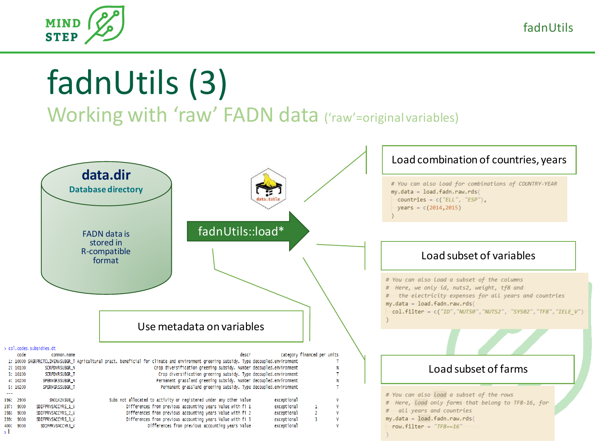



# fadnUtils (3)

Working with 'raw' FADN data ('raw'=original variables)

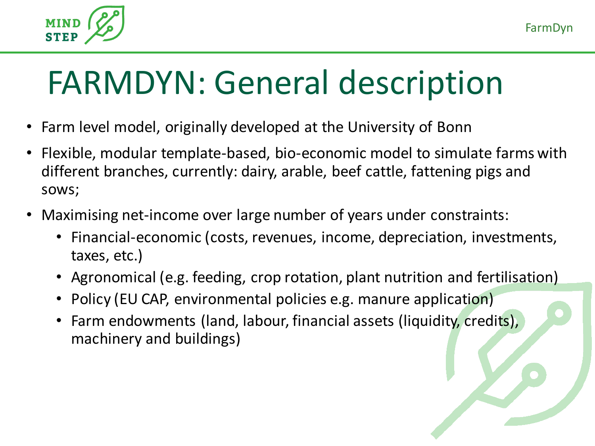

## FARMDYN: General description

- Farm level model, originally developed at the University of Bonn
- Flexible, modular template-based, bio-economic model to simulate farms with different branches, currently: dairy, arable, beef cattle, fattening pigs and sows;
- Maximising net-income over large number of years under constraints:
	- Financial-economic (costs, revenues, income, depreciation, investments, taxes, etc.)
	- Agronomical (e.g. feeding, crop rotation, plant nutrition and fertilisation)
	- Policy (EU CAP, environmental policies e.g. manure application)
	- Farm endowments (land, labour, financial assets (liquidity, credits), machinery and buildings)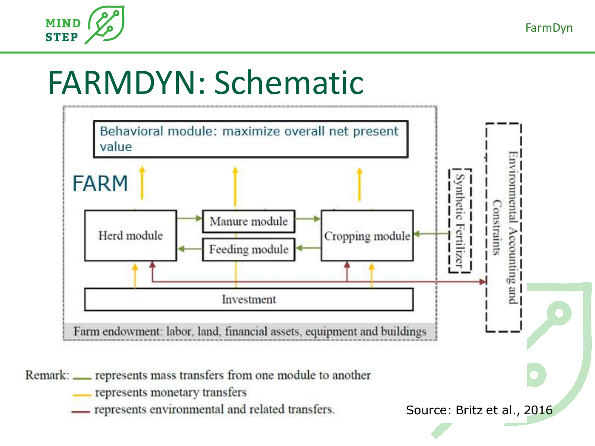

FarmDyn

## FARMDYN: Schematic



Remark: <u>expresents</u> mass transfers from one module to another

- represents monetary transfers
- represents environmental and related transfers.

Source: Britz et al., 2016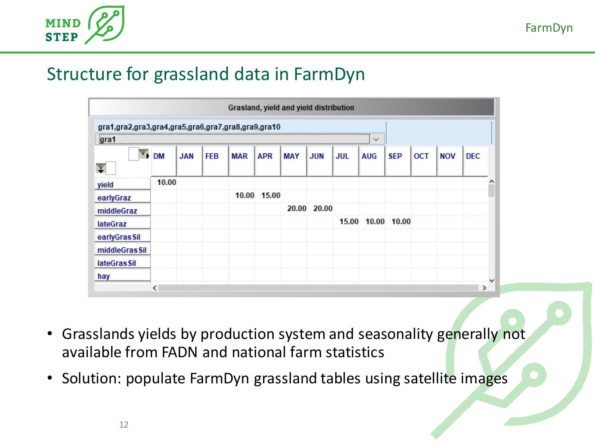

#### Structure for grassland data in FarmDyn

| Grasland, yield and yield distribution                                                                                                                                                                                                                                                                                         |           |            |            |            |             |            |             |     |                   |            |            |            |            |  |
|--------------------------------------------------------------------------------------------------------------------------------------------------------------------------------------------------------------------------------------------------------------------------------------------------------------------------------|-----------|------------|------------|------------|-------------|------------|-------------|-----|-------------------|------------|------------|------------|------------|--|
| gra1,gra2,gra3,gra4,gra5,gra6,gra7,gra8,gra9,gra10                                                                                                                                                                                                                                                                             |           |            |            |            |             |            |             |     |                   |            |            |            |            |  |
| grafi and a set of $\overline{a}$ and $\overline{a}$ are $\overline{a}$ and $\overline{a}$ and $\overline{a}$ and $\overline{a}$ and $\overline{a}$ and $\overline{a}$ and $\overline{a}$ and $\overline{a}$ and $\overline{a}$ and $\overline{a}$ and $\overline{a}$ and $\overline{a}$ and $\overline{a}$ and $\overline{a}$ |           |            |            |            |             |            |             |     | $\checkmark$      |            |            |            |            |  |
|                                                                                                                                                                                                                                                                                                                                | <b>DM</b> | <b>JAN</b> | <b>FEB</b> | <b>MAR</b> | <b>APR</b>  | <b>MAY</b> | <b>JUN</b>  | JUL | <b>AUG</b>        | <b>SEP</b> | <b>OCT</b> | <b>NOV</b> | <b>DEC</b> |  |
|                                                                                                                                                                                                                                                                                                                                |           |            |            |            |             |            |             |     |                   |            |            |            |            |  |
| yield                                                                                                                                                                                                                                                                                                                          | 10.00     |            |            |            |             |            |             |     |                   |            |            |            |            |  |
| earlyGraz                                                                                                                                                                                                                                                                                                                      |           |            |            |            | 10.00 15.00 |            |             |     |                   |            |            |            |            |  |
| middleGraz                                                                                                                                                                                                                                                                                                                     |           |            |            |            |             |            | 20.00 20.00 |     |                   |            |            |            |            |  |
| <b>lateGraz</b>                                                                                                                                                                                                                                                                                                                |           |            |            |            |             |            |             |     | 15.00 10.00 10.00 |            |            |            |            |  |
| earlyGrasSil                                                                                                                                                                                                                                                                                                                   |           |            |            |            |             |            |             |     |                   |            |            |            |            |  |
| middleGras Sil                                                                                                                                                                                                                                                                                                                 |           |            |            |            |             |            |             |     |                   |            |            |            |            |  |
| lateGras Sil                                                                                                                                                                                                                                                                                                                   |           |            |            |            |             |            |             |     |                   |            |            |            |            |  |
| hay                                                                                                                                                                                                                                                                                                                            |           |            |            |            |             |            |             |     |                   |            |            |            |            |  |
|                                                                                                                                                                                                                                                                                                                                |           |            |            |            |             |            |             |     |                   |            |            |            |            |  |

- Grasslands yields by production system and seasonality generally not available from FADN and national farm statistics
- Solution: populate FarmDyn grassland tables using satellite images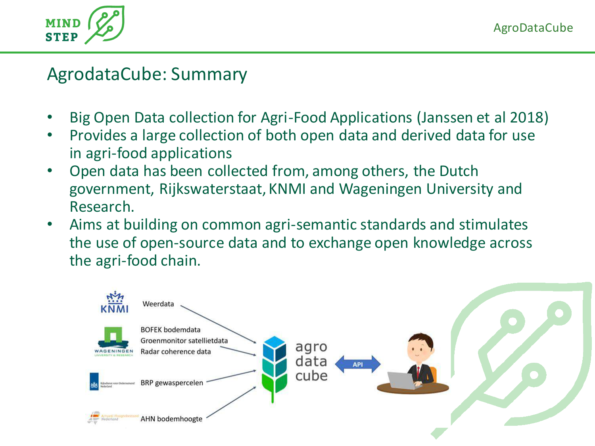

AgrodataCube: Summary

- Big Open Data collection for Agri-Food Applications (Janssen et al 2018)
- Provides a large collection of both open data and derived data for use in agri-food applications
- Open data has been collected from, among others, the Dutch government, Rijkswaterstaat, KNMI and Wageningen University and Research.
- Aims at building on common agri-semantic standards and stimulates the use of open-source data and to exchange open knowledge across the agri-food chain.

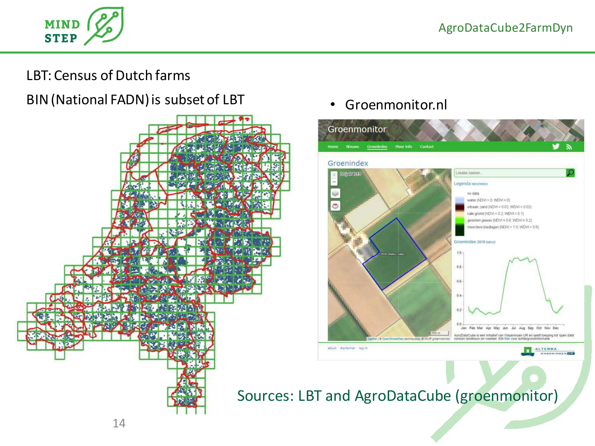

#### LBT: Census of Dutch farms

BIN (National FADN) is subset of LBT



#### • Groenmonitor.nl



Sources: LBT and AgroDataCube (groenmonitor)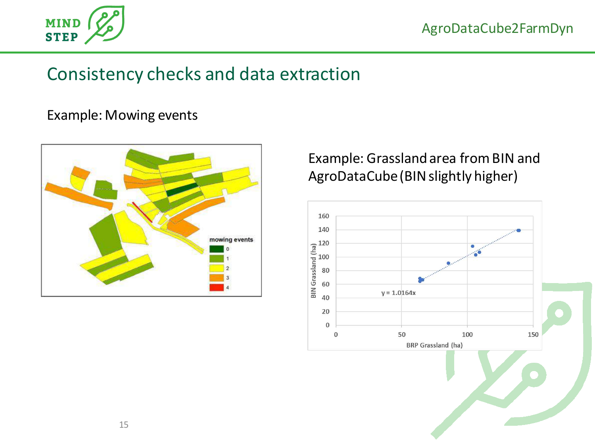

#### Consistency checks and data extraction

#### Example: Mowing events



#### Example: Grassland area from BIN and AgroDataCube(BIN slightly higher)

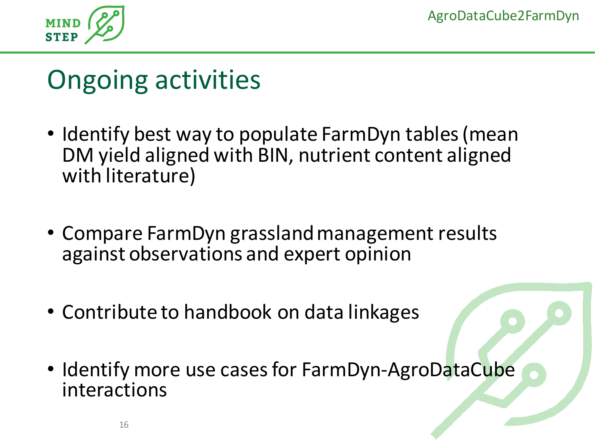

### Ongoing activities

- Identify best way to populate FarmDyn tables (mean DM yield aligned with BIN, nutrient content aligned with literature)
- Compare FarmDyn grassland management results against observations and expert opinion
- Contribute to handbook on data linkages
- Identify more use cases for FarmDyn-AgroDataCube interactions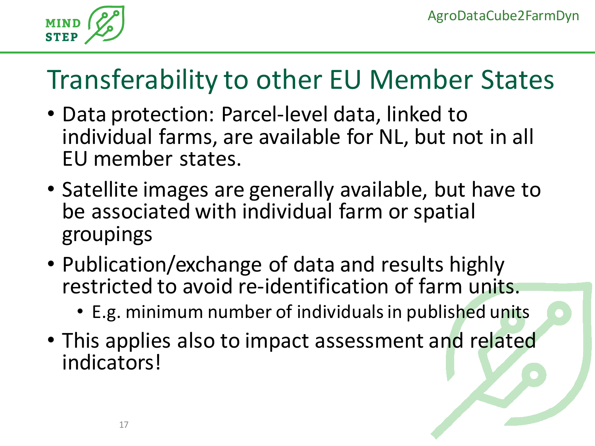

## Transferability to other EU Member States

- Data protection: Parcel-level data, linked to individual farms, are available for NL, but not in all EU member states.
- Satellite images are generally available, but have to be associated with individual farm or spatial groupings
- Publication/exchange of data and results highly restricted to avoid re-identification of farm units.
	- E.g. minimum number of individuals in published units
- This applies also to impact assessment and related indicators!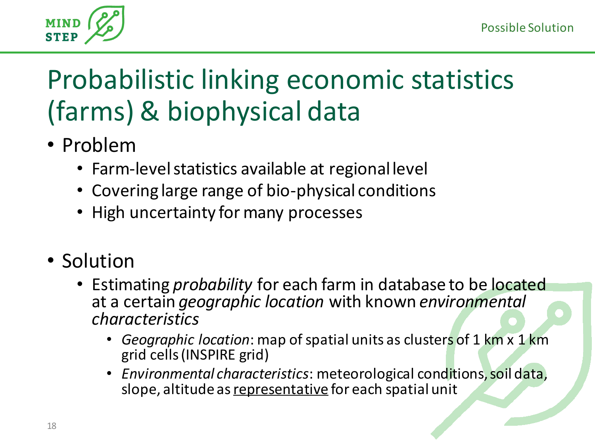

## Probabilistic linking economic statistics (farms) & biophysical data

- Problem
	- Farm-level statistics available at regional level
	- Covering large range of bio-physical conditions
	- High uncertainty for many processes
- Solution
	- Estimating *probability* for each farm in database to be located at a certain *geographic location* with known *environmental characteristics*
		- *Geographic location*: map of spatial units as clusters of 1 km x 1 km grid cells (INSPIRE grid)
		- *Environmental characteristics*: meteorological conditions, soil data, slope, altitude as representative for each spatial unit